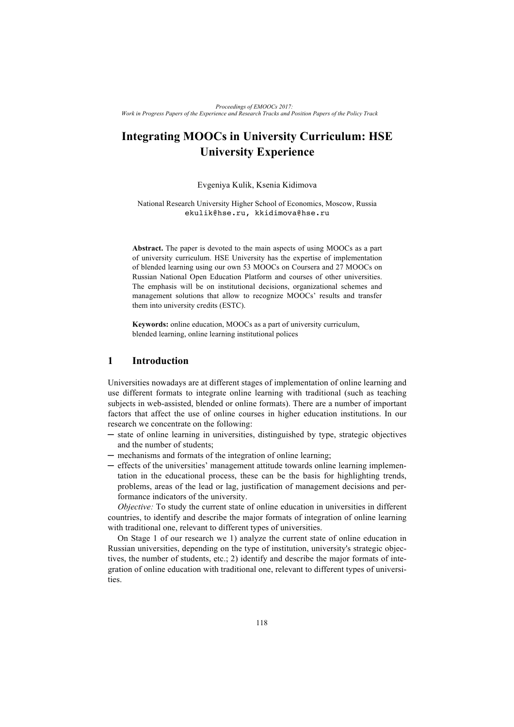# **Integrating MOOCs in University Curriculum: HSE University Experience**

### Evgeniya Kulik, Ksenia Kidimova

National Research University Higher School of Economics, Moscow, Russia ekulik@hse.ru, kkidimova@hse.ru

**Abstract.** The paper is devoted to the main aspects of using MOOCs as a part of university curriculum. HSE University has the expertise of implementation of blended learning using our own 53 MOOCs on Coursera and 27 MOOCs on Russian National Open Education Platform and courses of other universities. The emphasis will be on institutional decisions, organizational schemes and management solutions that allow to recognize MOOCs' results and transfer them into university credits (ESTC).

**Keywords:** online education, MOOCs as a part of university curriculum, blended learning, online learning institutional polices

## **1 Introduction**

Universities nowadays are at different stages of implementation of online learning and use different formats to integrate online learning with traditional (such as teaching subjects in web-assisted, blended or online formats). There are a number of important factors that affect the use of online courses in higher education institutions. In our research we concentrate on the following:

- ─ state of online learning in universities, distinguished by type, strategic objectives and the number of students;
- mechanisms and formats of the integration of online learning;
- ─ effects of the universities' management attitude towards online learning implementation in the educational process, these can be the basis for highlighting trends, problems, areas of the lead or lag, justification of management decisions and performance indicators of the university.

*Objective:* To study the current state of online education in universities in different countries, to identify and describe the major formats of integration of online learning with traditional one, relevant to different types of universities.

On Stage 1 of our research we 1) analyze the current state of online education in Russian universities, depending on the type of institution, university's strategic objectives, the number of students, etc.; 2) identify and describe the major formats of integration of online education with traditional one, relevant to different types of universities.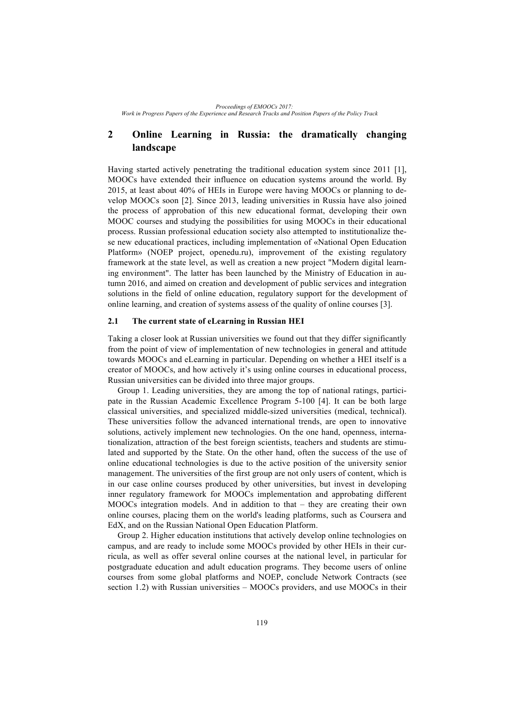# **2 Online Learning in Russia: the dramatically changing landscape**

Having started actively penetrating the traditional education system since 2011 [1], MOOCs have extended their influence on education systems around the world. By 2015, at least about 40% of HEIs in Europe were having MOOCs or planning to develop MOOCs soon [2]. Since 2013, leading universities in Russia have also joined the process of approbation of this new educational format, developing their own MOOC courses and studying the possibilities for using MOOCs in their educational process. Russian professional education society also attempted to institutionalize these new educational practices, including implementation of «National Open Education Platform» (NOEP project, openedu.ru), improvement of the existing regulatory framework at the state level, as well as creation a new project "Modern digital learning environment". The latter has been launched by the Ministry of Education in autumn 2016, and aimed on creation and development of public services and integration solutions in the field of online education, regulatory support for the development of online learning, and creation of systems assess of the quality of online courses [3].

#### **2.1 The current state of eLearning in Russian HEI**

Taking a closer look at Russian universities we found out that they differ significantly from the point of view of implementation of new technologies in general and attitude towards MOOCs and eLearning in particular. Depending on whether a HEI itself is a creator of MOOCs, and how actively it's using online courses in educational process, Russian universities can be divided into three major groups.

Group 1. Leading universities, they are among the top of national ratings, participate in the Russian Academic Excellence Program 5-100 [4]. It can be both large classical universities, and specialized middle-sized universities (medical, technical). These universities follow the advanced international trends, are open to innovative solutions, actively implement new technologies. On the one hand, openness, internationalization, attraction of the best foreign scientists, teachers and students are stimulated and supported by the State. On the other hand, often the success of the use of online educational technologies is due to the active position of the university senior management. The universities of the first group are not only users of content, which is in our case online courses produced by other universities, but invest in developing inner regulatory framework for MOOCs implementation and approbating different MOOCs integration models. And in addition to that – they are creating their own online courses, placing them on the world's leading platforms, such as Coursera and EdX, and on the Russian National Open Education Platform.

Group 2. Higher education institutions that actively develop online technologies on campus, and are ready to include some MOOCs provided by other HEIs in their curricula, as well as offer several online courses at the national level, in particular for postgraduate education and adult education programs. They become users of online courses from some global platforms and NOEP, conclude Network Contracts (see section 1.2) with Russian universities – MOOCs providers, and use MOOCs in their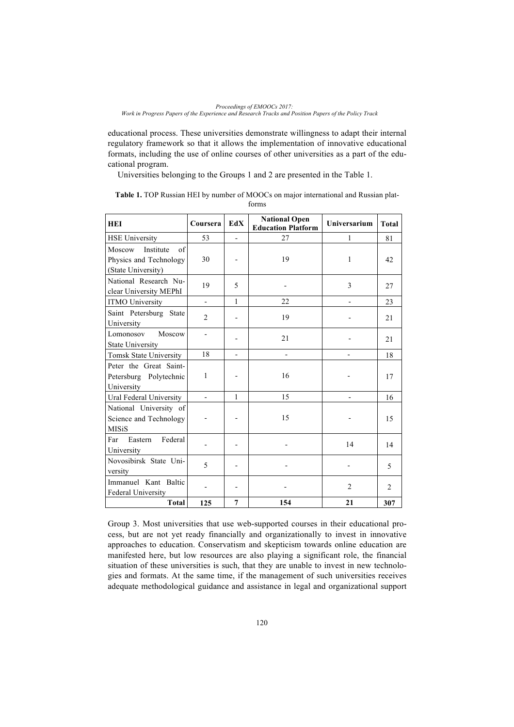educational process. These universities demonstrate willingness to adapt their internal regulatory framework so that it allows the implementation of innovative educational formats, including the use of online courses of other universities as a part of the educational program.

Universities belonging to the Groups 1 and 2 are presented in the Table 1.

| 101 111 J                                                                 |                          |                |                                                   |                     |              |  |  |
|---------------------------------------------------------------------------|--------------------------|----------------|---------------------------------------------------|---------------------|--------------|--|--|
| <b>HEI</b>                                                                | Coursera                 | EdX            | <b>National Open</b><br><b>Education Platform</b> | <b>Universarium</b> | <b>Total</b> |  |  |
| <b>HSE University</b>                                                     | 53                       | $\overline{a}$ | 27                                                | 1                   | 81           |  |  |
| Moscow<br>Institute<br>of<br>Physics and Technology<br>(State University) | 30                       |                | 19                                                | 1                   | 42           |  |  |
| National Research Nu-<br>clear University MEPhI                           | 19                       | 5              |                                                   | 3                   | 27           |  |  |
| <b>ITMO University</b>                                                    | $\overline{\phantom{0}}$ | $\mathbf{1}$   | 22                                                |                     | 23           |  |  |
| Saint Petersburg State<br>University                                      | $\overline{2}$           |                | 19                                                |                     | 21           |  |  |
| Moscow<br>Lomonosov<br><b>State University</b>                            |                          |                | 21                                                |                     | 21           |  |  |
| Tomsk State University                                                    | 18                       |                |                                                   |                     | 18           |  |  |
| Peter the Great Saint-<br>Petersburg Polytechnic<br>University            | 1                        |                | 16                                                |                     | 17           |  |  |
| Ural Federal University                                                   | $\overline{\phantom{0}}$ | 1              | 15                                                |                     | 16           |  |  |
| National University of<br>Science and Technology<br><b>MISiS</b>          |                          |                | 15                                                |                     | 15           |  |  |
| Federal<br>Eastern<br>Far<br>University                                   |                          |                |                                                   | 14                  | 14           |  |  |
| Novosibirsk State Uni-                                                    |                          |                |                                                   |                     |              |  |  |

| Table 1. TOP Russian HEI by number of MOOCs on major international and Russian plat- |       |  |
|--------------------------------------------------------------------------------------|-------|--|
|                                                                                      | forms |  |

Group 3. Most universities that use web-supported courses in their educational process, but are not yet ready financially and organizationally to invest in innovative approaches to education. Conservatism and skepticism towards online education are manifested here, but low resources are also playing a significant role, the financial situation of these universities is such, that they are unable to invest in new technologies and formats. At the same time, if the management of such universities receives adequate methodological guidance and assistance in legal and organizational support

The meanuel Kant Baltic and The Contract of the Contract of the Contract of the Pole in the Pole in the Pole in the Pole in the Pole in the Pole in the Pole in the Pole in the Pole in the Pole in the Pole in the Pole in th

5 - - - - - 5

**Total 125 7 154 21 307**

versity

Immanuel Kant Baltic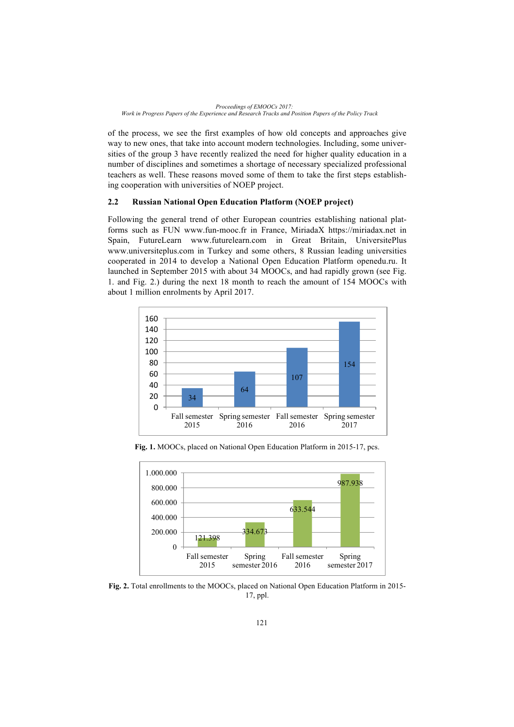of the process, we see the first examples of how old concepts and approaches give way to new ones, that take into account modern technologies. Including, some universities of the group 3 have recently realized the need for higher quality education in a number of disciplines and sometimes a shortage of necessary specialized professional teachers as well. These reasons moved some of them to take the first steps establishing cooperation with universities of NOEP project.

# **2.2 Russian National Open Education Platform (NOEP project)**

Following the general trend of other European countries establishing national platforms such as FUN www.fun-mooc.fr in France, MiriadaX https://miriadax.net in Spain, FutureLearn www.futurelearn.com in Great Britain, UniversitePlus www.universiteplus.com in Turkey and some others, 8 Russian leading universities cooperated in 2014 to develop a National Open Education Platform openedu.ru. It launched in September 2015 with about 34 MOOCs, and had rapidly grown (see Fig. 1. and Fig. 2.) during the next 18 month to reach the amount of 154 MOOCs with about 1 million enrolments by April 2017.



**Fig. 1.** MOOCs, placed on National Open Education Platform in 2015-17, pcs.



**Fig. 2.** Total enrollments to the MOOCs, placed on National Open Education Platform in 2015- 17, ppl.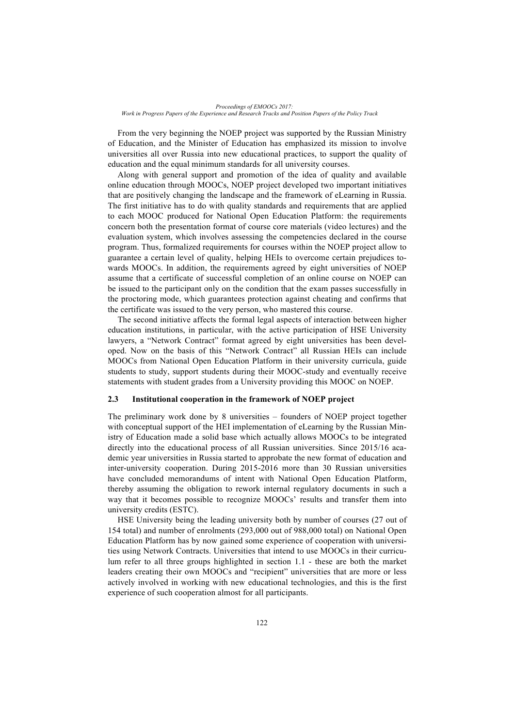From the very beginning the NOEP project was supported by the Russian Ministry of Education, and the Minister of Education has emphasized its mission to involve universities all over Russia into new educational practices, to support the quality of education and the equal minimum standards for all university courses.

Along with general support and promotion of the idea of quality and available online education through MOOCs, NOEP project developed two important initiatives that are positively changing the landscape and the framework of eLearning in Russia. The first initiative has to do with quality standards and requirements that are applied to each MOOC produced for National Open Education Platform: the requirements concern both the presentation format of course core materials (video lectures) and the evaluation system, which involves assessing the competencies declared in the course program. Thus, formalized requirements for courses within the NOEP project allow to guarantee a certain level of quality, helping HEIs to overcome certain prejudices towards MOOCs. In addition, the requirements agreed by eight universities of NOEP assume that a certificate of successful completion of an online course on NOEP can be issued to the participant only on the condition that the exam passes successfully in the proctoring mode, which guarantees protection against cheating and confirms that the certificate was issued to the very person, who mastered this course.

The second initiative affects the formal legal aspects of interaction between higher education institutions, in particular, with the active participation of HSE University lawyers, a "Network Contract" format agreed by eight universities has been developed. Now on the basis of this "Network Contract" all Russian HEIs can include MOOCs from National Open Education Platform in their university curricula, guide students to study, support students during their MOOC-study and eventually receive statements with student grades from a University providing this MOOC on NOEP.

#### **2.3 Institutional cooperation in the framework of NOEP project**

The preliminary work done by 8 universities – founders of NOEP project together with conceptual support of the HEI implementation of eLearning by the Russian Ministry of Education made a solid base which actually allows MOOCs to be integrated directly into the educational process of all Russian universities. Since 2015/16 academic year universities in Russia started to approbate the new format of education and inter-university cooperation. During 2015-2016 more than 30 Russian universities have concluded memorandums of intent with National Open Education Platform, thereby assuming the obligation to rework internal regulatory documents in such a way that it becomes possible to recognize MOOCs' results and transfer them into university credits (ESTC).

HSE University being the leading university both by number of courses (27 out of 154 total) and number of enrolments (293,000 out of 988,000 total) on National Open Education Platform has by now gained some experience of cooperation with universities using Network Contracts. Universities that intend to use MOOCs in their curriculum refer to all three groups highlighted in section 1.1 - these are both the market leaders creating their own MOOCs and "recipient" universities that are more or less actively involved in working with new educational technologies, and this is the first experience of such cooperation almost for all participants.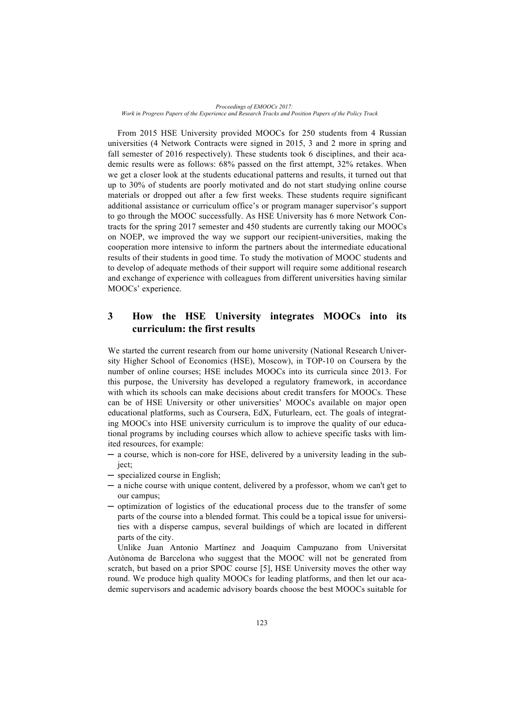From 2015 HSE University provided MOOCs for 250 students from 4 Russian universities (4 Network Contracts were signed in 2015, 3 and 2 more in spring and fall semester of 2016 respectively). These students took 6 disciplines, and their academic results were as follows: 68% passed on the first attempt, 32% retakes. When we get a closer look at the students educational patterns and results, it turned out that up to 30% of students are poorly motivated and do not start studying online course materials or dropped out after a few first weeks. These students require significant additional assistance or curriculum office's or program manager supervisor's support to go through the MOOC successfully. As HSE University has 6 more Network Contracts for the spring 2017 semester and 450 students are currently taking our MOOCs on NOEP, we improved the way we support our recipient-universities, making the cooperation more intensive to inform the partners about the intermediate educational results of their students in good time. To study the motivation of MOOC students and to develop of adequate methods of their support will require some additional research and exchange of experience with colleagues from different universities having similar MOOCs' experience.

# **3 How the HSE University integrates MOOCs into its curriculum: the first results**

We started the current research from our home university (National Research University Higher School of Economics (HSE), Moscow), in TOP-10 on Coursera by the number of online courses; HSE includes МООСs into its curricula since 2013. For this purpose, the University has developed a regulatory framework, in accordance with which its schools can make decisions about credit transfers for МООСs. These can be of HSE University or other universities' MOOCs available on major open educational platforms, such as Coursera, EdX, Futurlearn, ect. The goals of integrating MOOCs into HSE university curriculum is to improve the quality of our educational programs by including courses which allow to achieve specific tasks with limited resources, for example:

- ─ a course, which is non-core for HSE, delivered by a university leading in the subject;
- ─ specialized course in English;
- ─ a niche course with unique content, delivered by a professor, whom we can't get to our campus;
- ─ optimization of logistics of the educational process due to the transfer of some parts of the course into a blended format. This could be a topical issue for universities with a disperse campus, several buildings of which are located in different parts of the city.

Unlike Juan Antonio Martínez and Joaquim Campuzano from Universitat Autònoma de Barcelona who suggest that the MOOC will not be generated from scratch, but based on a prior SPOC course [5], HSE University moves the other way round. We produce high quality MOOCs for leading platforms, and then let our academic supervisors and academic advisory boards choose the best MOOCs suitable for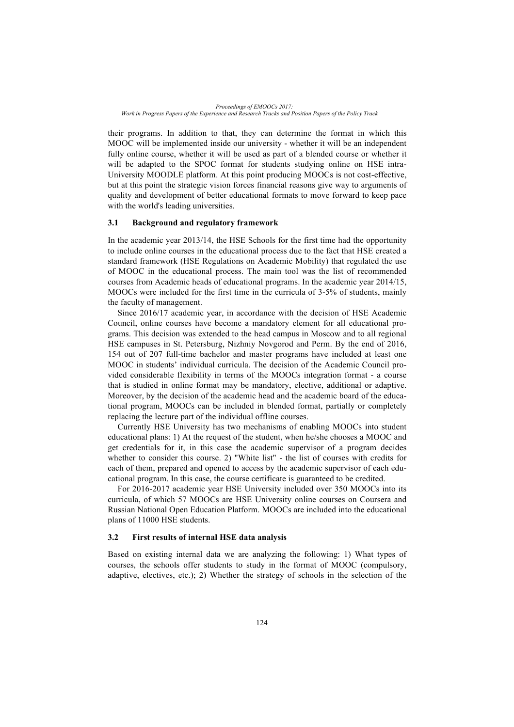their programs. In addition to that, they can determine the format in which this MOOC will be implemented inside our university - whether it will be an independent fully online course, whether it will be used as part of a blended course or whether it will be adapted to the SPOC format for students studying online on HSE intra-University MOODLE platform. At this point producing MOOCs is not cost-effective, but at this point the strategic vision forces financial reasons give way to arguments of quality and development of better educational formats to move forward to keep pace with the world's leading universities.

#### **3.1 Background and regulatory framework**

In the academic year 2013/14, the HSE Schools for the first time had the opportunity to include online courses in the educational process due to the fact that HSE created a standard framework (HSE Regulations on Academic Mobility) that regulated the use of MOOC in the educational process. The main tool was the list of recommended courses from Academic heads of educational programs. In the academic year 2014/15, MOOCs were included for the first time in the curricula of 3-5% of students, mainly the faculty of management.

Since 2016/17 academic year, in accordance with the decision of HSE Academic Council, online courses have become a mandatory element for all educational programs. This decision was extended to the head campus in Moscow and to all regional HSE campuses in St. Petersburg, Nizhniy Novgorod and Perm. By the end of 2016, 154 out of 207 full-time bachelor and master programs have included at least one MOOC in students' individual curricula. The decision of the Academic Council provided considerable flexibility in terms of the MOOCs integration format - a course that is studied in online format may be mandatory, elective, additional or adaptive. Moreover, by the decision of the academic head and the academic board of the educational program, MOOCs can be included in blended format, partially or completely replacing the lecture part of the individual offline courses.

Currently HSE University has two mechanisms of enabling MOOCs into student educational plans: 1) At the request of the student, when he/she chooses a MOOC and get credentials for it, in this case the academic supervisor of a program decides whether to consider this course. 2) "White list" - the list of courses with credits for each of them, prepared and opened to access by the academic supervisor of each educational program. In this case, the course certificate is guaranteed to be credited.

For 2016-2017 academic year HSE University included over 350 MOOCs into its curricula, of which 57 MOOCs are HSE University online courses on Coursera and Russian National Open Education Platform. MOOCs are included into the educational plans of 11000 HSE students.

#### **3.2 First results of internal HSE data analysis**

Based on existing internal data we are analyzing the following: 1) What types of courses, the schools offer students to study in the format of MOOC (compulsory, adaptive, electives, etc.); 2) Whether the strategy of schools in the selection of the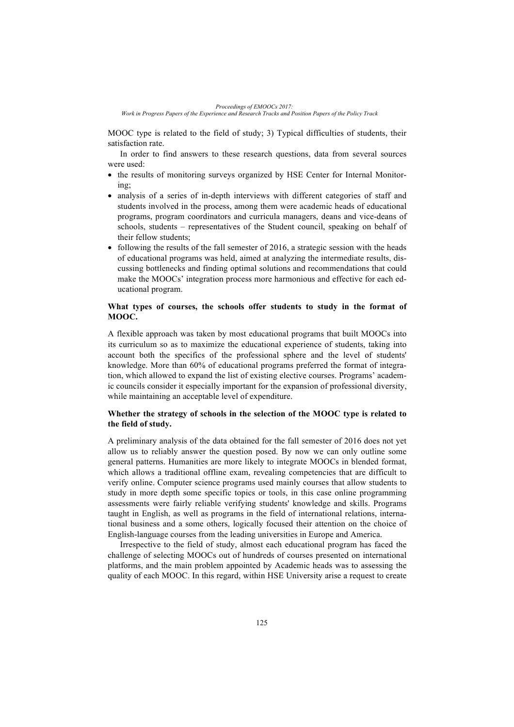*Work in Progress Papers of the Experience and Research Tracks and Position Papers of the Policy Track*

MOOC type is related to the field of study; 3) Typical difficulties of students, their satisfaction rate.

In order to find answers to these research questions, data from several sources were used:

- the results of monitoring surveys organized by HSE Center for Internal Monitoring;
- analysis of a series of in-depth interviews with different categories of staff and students involved in the process, among them were academic heads of educational programs, program coordinators and curricula managers, deans and vice-deans of schools, students – representatives of the Student council, speaking on behalf of their fellow students;
- following the results of the fall semester of 2016, a strategic session with the heads of educational programs was held, aimed at analyzing the intermediate results, discussing bottlenecks and finding optimal solutions and recommendations that could make the MOOCs' integration process more harmonious and effective for each educational program.

# **What types of courses, the schools offer students to study in the format of MOOC.**

A flexible approach was taken by most educational programs that built MOOCs into its curriculum so as to maximize the educational experience of students, taking into account both the specifics of the professional sphere and the level of students' knowledge. More than 60% of educational programs preferred the format of integration, which allowed to expand the list of existing elective courses. Programs' academic councils consider it especially important for the expansion of professional diversity, while maintaining an acceptable level of expenditure.

# **Whether the strategy of schools in the selection of the MOOC type is related to the field of study.**

A preliminary analysis of the data obtained for the fall semester of 2016 does not yet allow us to reliably answer the question posed. By now we can only outline some general patterns. Humanities are more likely to integrate MOOCs in blended format, which allows a traditional offline exam, revealing competencies that are difficult to verify online. Computer science programs used mainly courses that allow students to study in more depth some specific topics or tools, in this case online programming assessments were fairly reliable verifying students' knowledge and skills. Programs taught in English, as well as programs in the field of international relations, international business and a some others, logically focused their attention on the choice of English-language courses from the leading universities in Europe and America.

Irrespective to the field of study, almost each educational program has faced the challenge of selecting MOOCs out of hundreds of courses presented on international platforms, and the main problem appointed by Academic heads was to assessing the quality of each MOOC. In this regard, within HSE University arise a request to create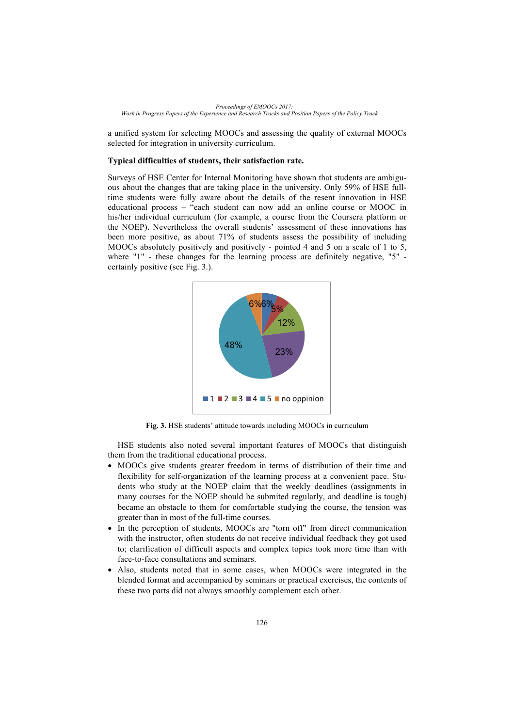a unified system for selecting MOOCs and assessing the quality of external MOOCs selected for integration in university curriculum.

#### **Typical difficulties of students, their satisfaction rate.**

Surveys of HSE Center for Internal Monitoring have shown that students are ambiguous about the changes that are taking place in the university. Only 59% of HSE fulltime students were fully aware about the details of the resent innovation in HSE educational process – "each student can now add an online course or MOOC in his/her individual curriculum (for example, a course from the Coursera platform or the NOEP). Nevertheless the overall students' assessment of these innovations has been more positive, as about 71% of students assess the possibility of including MOOCs absolutely positively and positively - pointed 4 and 5 on a scale of 1 to 5, where "1" - these changes for the learning process are definitely negative, "5" certainly positive (see Fig. 3.).



**Fig. 3.** HSE students' attitude towards including MOOCs in curriculum

HSE students also noted several important features of MOOCs that distinguish them from the traditional educational process.

- MOOCs give students greater freedom in terms of distribution of their time and flexibility for self-organization of the learning process at a convenient pace. Students who study at the NOEP claim that the weekly deadlines (assignments in many courses for the NOEP should be submited regularly, and deadline is tough) became an obstacle to them for comfortable studying the course, the tension was greater than in most of the full-time courses.
- In the perception of students, MOOCs are "torn off" from direct communication with the instructor, often students do not receive individual feedback they got used to; clarification of difficult aspects and complex topics took more time than with face-to-face consultations and seminars.
- Also, students noted that in some cases, when MOOCs were integrated in the blended format and accompanied by seminars or practical exercises, the contents of these two parts did not always smoothly complement each other.